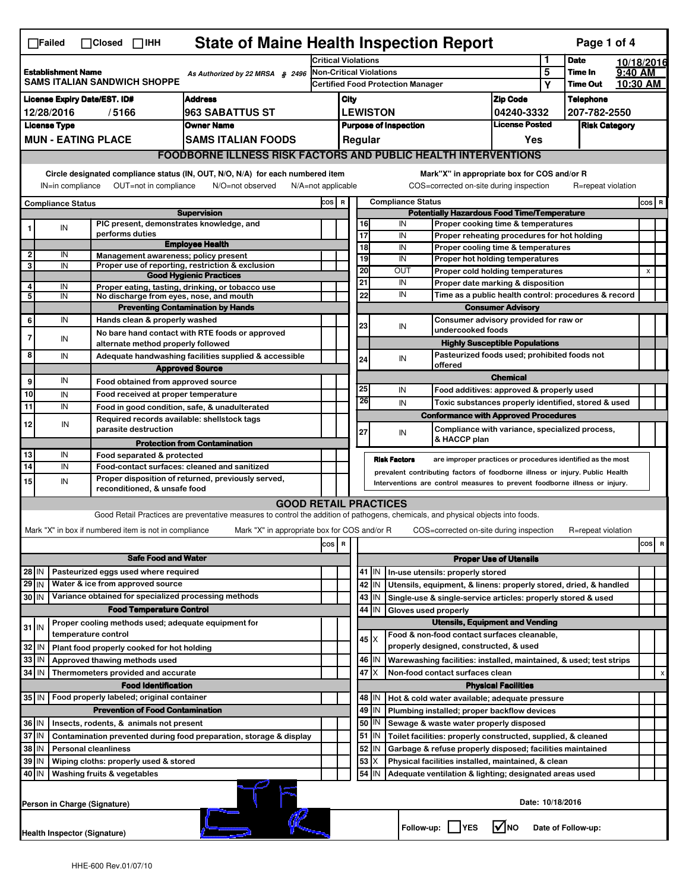| <b>State of Maine Health Inspection Report</b><br>Page 1 of 4<br>$\Box$ Failed<br>$\Box$ Closed $\Box$ IHH |                                                                                                                                                                                                                                                                                           |                                                             |                                                                                                                                   |                            |                                          |                                                                              |                 |                                                                                              |                                                                                       |                               |              |                      |          |       |   |
|------------------------------------------------------------------------------------------------------------|-------------------------------------------------------------------------------------------------------------------------------------------------------------------------------------------------------------------------------------------------------------------------------------------|-------------------------------------------------------------|-----------------------------------------------------------------------------------------------------------------------------------|----------------------------|------------------------------------------|------------------------------------------------------------------------------|-----------------|----------------------------------------------------------------------------------------------|---------------------------------------------------------------------------------------|-------------------------------|--------------|----------------------|----------|-------|---|
|                                                                                                            |                                                                                                                                                                                                                                                                                           |                                                             |                                                                                                                                   | <b>Critical Violations</b> |                                          |                                                                              |                 |                                                                                              |                                                                                       | 1                             | <b>Date</b>  | 10/18/2016           |          |       |   |
| <b>Establishment Name</b><br>As Authorized by 22 MRSA § 2496<br><b>SAMS ITALIAN SANDWICH SHOPPE</b>        |                                                                                                                                                                                                                                                                                           |                                                             | Non-Critical Violations                                                                                                           |                            |                                          |                                                                              |                 | 5                                                                                            | <b>Time In</b>                                                                        | 9:40 AM                       |              |                      |          |       |   |
|                                                                                                            |                                                                                                                                                                                                                                                                                           |                                                             |                                                                                                                                   |                            | <b>Certified Food Protection Manager</b> |                                                                              |                 |                                                                                              |                                                                                       |                               | Υ            | <b>Time Out</b>      | 10:30 AM |       |   |
| <b>Address</b><br><b>License Expiry Date/EST. ID#</b>                                                      |                                                                                                                                                                                                                                                                                           |                                                             |                                                                                                                                   |                            | City                                     |                                                                              |                 |                                                                                              |                                                                                       | <b>Zip Code</b>               |              | <b>Telephone</b>     |          |       |   |
| 12/28/2016<br>/5166<br><b>963 SABATTUS ST</b>                                                              |                                                                                                                                                                                                                                                                                           |                                                             |                                                                                                                                   |                            |                                          | <b>LEWISTON</b>                                                              |                 |                                                                                              | 04240-3332                                                                            |                               | 207-782-2550 |                      |          |       |   |
| <b>License Type</b><br><b>Owner Name</b><br><b>MUN - EATING PLACE</b>                                      |                                                                                                                                                                                                                                                                                           |                                                             |                                                                                                                                   |                            |                                          |                                                                              |                 | <b>Purpose of Inspection</b>                                                                 |                                                                                       | <b>License Posted</b>         |              | <b>Risk Category</b> |          |       |   |
|                                                                                                            |                                                                                                                                                                                                                                                                                           |                                                             | <b>SAMS ITALIAN FOODS</b>                                                                                                         |                            |                                          |                                                                              | Regular         |                                                                                              |                                                                                       | Yes                           |              |                      |          |       |   |
|                                                                                                            | <b>FOODBORNE ILLNESS RISK FACTORS AND PUBLIC HEALTH INTERVENTIONS</b>                                                                                                                                                                                                                     |                                                             |                                                                                                                                   |                            |                                          |                                                                              |                 |                                                                                              |                                                                                       |                               |              |                      |          |       |   |
|                                                                                                            | Circle designated compliance status (IN, OUT, N/O, N/A) for each numbered item<br>Mark"X" in appropriate box for COS and/or R<br>OUT=not in compliance<br>N/O=not observed<br>COS=corrected on-site during inspection<br>IN=in compliance<br>$N/A = not$ applicable<br>R=repeat violation |                                                             |                                                                                                                                   |                            |                                          |                                                                              |                 |                                                                                              |                                                                                       |                               |              |                      |          |       |   |
| <b>Compliance Status</b>                                                                                   |                                                                                                                                                                                                                                                                                           |                                                             |                                                                                                                                   | cos                        | $\mathbf R$                              |                                                                              |                 | <b>Compliance Status</b>                                                                     |                                                                                       |                               |              |                      |          | COS R |   |
| <b>Supervision</b>                                                                                         |                                                                                                                                                                                                                                                                                           |                                                             |                                                                                                                                   |                            |                                          | <b>Potentially Hazardous Food Time/Temperature</b>                           |                 |                                                                                              |                                                                                       |                               |              |                      |          |       |   |
|                                                                                                            | IN                                                                                                                                                                                                                                                                                        | PIC present, demonstrates knowledge, and<br>performs duties |                                                                                                                                   |                            |                                          |                                                                              | 16<br>17        | IN<br>IN                                                                                     | Proper cooking time & temperatures                                                    |                               |              |                      |          |       |   |
|                                                                                                            |                                                                                                                                                                                                                                                                                           |                                                             | <b>Employee Health</b>                                                                                                            |                            |                                          |                                                                              | $\overline{18}$ | IN                                                                                           | Proper reheating procedures for hot holding<br>Proper cooling time & temperatures     |                               |              |                      |          |       |   |
| $\overline{\mathbf{2}}$                                                                                    | IN                                                                                                                                                                                                                                                                                        | Management awareness: policy present                        |                                                                                                                                   |                            |                                          |                                                                              | 19              | IN                                                                                           | Proper hot holding temperatures                                                       |                               |              |                      |          |       |   |
| 3                                                                                                          | IN                                                                                                                                                                                                                                                                                        |                                                             | Proper use of reporting, restriction & exclusion<br><b>Good Hygienic Practices</b>                                                |                            |                                          |                                                                              | 20              | OUT                                                                                          | Proper cold holding temperatures                                                      |                               |              |                      |          | X     |   |
| 4                                                                                                          | IN                                                                                                                                                                                                                                                                                        |                                                             | Proper eating, tasting, drinking, or tobacco use                                                                                  |                            |                                          |                                                                              | 21              | IN                                                                                           | Proper date marking & disposition                                                     |                               |              |                      |          |       |   |
| 5                                                                                                          | IN                                                                                                                                                                                                                                                                                        | No discharge from eyes, nose, and mouth                     |                                                                                                                                   |                            |                                          |                                                                              | 22              | IN                                                                                           | Time as a public health control: procedures & record                                  |                               |              |                      |          |       |   |
|                                                                                                            |                                                                                                                                                                                                                                                                                           |                                                             | <b>Preventing Contamination by Hands</b>                                                                                          |                            |                                          |                                                                              |                 | <b>Consumer Advisory</b>                                                                     |                                                                                       |                               |              |                      |          |       |   |
| 6                                                                                                          | IN                                                                                                                                                                                                                                                                                        | Hands clean & properly washed                               |                                                                                                                                   |                            |                                          |                                                                              | 23              | IN                                                                                           | Consumer advisory provided for raw or<br>undercooked foods                            |                               |              |                      |          |       |   |
| $\overline{7}$                                                                                             | IN                                                                                                                                                                                                                                                                                        |                                                             | No bare hand contact with RTE foods or approved                                                                                   |                            |                                          |                                                                              |                 |                                                                                              |                                                                                       |                               |              |                      |          |       |   |
| 8                                                                                                          | IN                                                                                                                                                                                                                                                                                        | alternate method properly followed                          | Adequate handwashing facilities supplied & accessible                                                                             |                            |                                          |                                                                              |                 |                                                                                              | <b>Highly Susceptible Populations</b><br>Pasteurized foods used; prohibited foods not |                               |              |                      |          |       |   |
|                                                                                                            |                                                                                                                                                                                                                                                                                           |                                                             | <b>Approved Source</b>                                                                                                            |                            |                                          |                                                                              | 24              | IN                                                                                           | offered                                                                               |                               |              |                      |          |       |   |
| 9                                                                                                          | IN                                                                                                                                                                                                                                                                                        | Food obtained from approved source                          |                                                                                                                                   |                            |                                          |                                                                              |                 |                                                                                              |                                                                                       | <b>Chemical</b>               |              |                      |          |       |   |
| 10                                                                                                         | IN                                                                                                                                                                                                                                                                                        | Food received at proper temperature                         |                                                                                                                                   |                            |                                          |                                                                              | 25              | IN                                                                                           | Food additives: approved & properly used                                              |                               |              |                      |          |       |   |
| $\overline{11}$                                                                                            | IN                                                                                                                                                                                                                                                                                        |                                                             | Food in good condition, safe, & unadulterated                                                                                     |                            |                                          |                                                                              | 26              | IN                                                                                           | Toxic substances properly identified, stored & used                                   |                               |              |                      |          |       |   |
| 12                                                                                                         | IN                                                                                                                                                                                                                                                                                        | Required records available: shellstock tags                 |                                                                                                                                   |                            |                                          |                                                                              |                 |                                                                                              | <b>Conformance with Approved Procedures</b>                                           |                               |              |                      |          |       |   |
|                                                                                                            |                                                                                                                                                                                                                                                                                           | parasite destruction                                        |                                                                                                                                   |                            |                                          |                                                                              | 27              | IN                                                                                           | Compliance with variance, specialized process,<br>& HACCP plan                        |                               |              |                      |          |       |   |
|                                                                                                            |                                                                                                                                                                                                                                                                                           |                                                             | <b>Protection from Contamination</b>                                                                                              |                            |                                          |                                                                              |                 |                                                                                              |                                                                                       |                               |              |                      |          |       |   |
| 13<br>14                                                                                                   | IN<br>IN                                                                                                                                                                                                                                                                                  | Food separated & protected                                  | Food-contact surfaces: cleaned and sanitized                                                                                      |                            |                                          |                                                                              |                 | <b>Risk Factors</b>                                                                          | are improper practices or procedures identified as the most                           |                               |              |                      |          |       |   |
| 15                                                                                                         | IN                                                                                                                                                                                                                                                                                        |                                                             | Proper disposition of returned, previously served,                                                                                |                            |                                          | prevalent contributing factors of foodborne illness or injury. Public Health |                 |                                                                                              |                                                                                       |                               |              |                      |          |       |   |
|                                                                                                            |                                                                                                                                                                                                                                                                                           | reconditioned, & unsafe food                                |                                                                                                                                   |                            |                                          |                                                                              |                 |                                                                                              | Interventions are control measures to prevent foodborne illness or injury.            |                               |              |                      |          |       |   |
|                                                                                                            |                                                                                                                                                                                                                                                                                           |                                                             | <b>GOOD RETAIL PRACTICES</b>                                                                                                      |                            |                                          |                                                                              |                 |                                                                                              |                                                                                       |                               |              |                      |          |       |   |
|                                                                                                            |                                                                                                                                                                                                                                                                                           |                                                             | Good Retail Practices are preventative measures to control the addition of pathogens, chemicals, and physical objects into foods. |                            |                                          |                                                                              |                 |                                                                                              |                                                                                       |                               |              |                      |          |       |   |
|                                                                                                            |                                                                                                                                                                                                                                                                                           | Mark "X" in box if numbered item is not in compliance       | Mark "X" in appropriate box for COS and/or R                                                                                      |                            |                                          |                                                                              |                 |                                                                                              | COS=corrected on-site during inspection                                               |                               |              | R=repeat violation   |          |       |   |
|                                                                                                            |                                                                                                                                                                                                                                                                                           |                                                             |                                                                                                                                   | cos R                      |                                          |                                                                              |                 |                                                                                              |                                                                                       |                               |              |                      |          | cos   | R |
| <b>Safe Food and Water</b>                                                                                 |                                                                                                                                                                                                                                                                                           |                                                             |                                                                                                                                   |                            |                                          |                                                                              |                 |                                                                                              |                                                                                       | <b>Proper Use of Utensils</b> |              |                      |          |       |   |
| Pasteurized eggs used where required<br>$28$ IN                                                            |                                                                                                                                                                                                                                                                                           |                                                             |                                                                                                                                   |                            |                                          | 41<br>IN                                                                     |                 | In-use utensils: properly stored                                                             |                                                                                       |                               |              |                      |          |       |   |
|                                                                                                            | $29$ IN<br>Water & ice from approved source                                                                                                                                                                                                                                               |                                                             |                                                                                                                                   |                            |                                          |                                                                              | 42 IN           |                                                                                              | Utensils, equipment, & linens: properly stored, dried, & handled                      |                               |              |                      |          |       |   |
| Variance obtained for specialized processing methods<br>30 IN                                              |                                                                                                                                                                                                                                                                                           |                                                             |                                                                                                                                   |                            |                                          | $43$ IN                                                                      |                 | Single-use & single-service articles: properly stored & used                                 |                                                                                       |                               |              |                      |          |       |   |
|                                                                                                            |                                                                                                                                                                                                                                                                                           | <b>Food Temperature Control</b>                             |                                                                                                                                   |                            |                                          |                                                                              | 44<br>IN        | Gloves used properly                                                                         |                                                                                       |                               |              |                      |          |       |   |
| $31$ IN                                                                                                    |                                                                                                                                                                                                                                                                                           | Proper cooling methods used; adequate equipment for         |                                                                                                                                   |                            |                                          |                                                                              |                 |                                                                                              | <b>Utensils, Equipment and Vending</b>                                                |                               |              |                      |          |       |   |
|                                                                                                            |                                                                                                                                                                                                                                                                                           | temperature control                                         |                                                                                                                                   |                            |                                          |                                                                              | 45   X          |                                                                                              | Food & non-food contact surfaces cleanable,                                           |                               |              |                      |          |       |   |
| 32                                                                                                         | IN                                                                                                                                                                                                                                                                                        | Plant food properly cooked for hot holding                  |                                                                                                                                   |                            |                                          |                                                                              |                 |                                                                                              | properly designed, constructed, & used                                                |                               |              |                      |          |       |   |
| 33                                                                                                         | IN                                                                                                                                                                                                                                                                                        | Approved thawing methods used                               |                                                                                                                                   |                            |                                          |                                                                              | 46 IN<br>47     |                                                                                              | Warewashing facilities: installed, maintained, & used; test strips                    |                               |              |                      |          |       |   |
| 34                                                                                                         | IN                                                                                                                                                                                                                                                                                        | Thermometers provided and accurate                          |                                                                                                                                   |                            |                                          |                                                                              | ΙX              |                                                                                              | Non-food contact surfaces clean                                                       |                               |              |                      |          |       | х |
|                                                                                                            |                                                                                                                                                                                                                                                                                           | <b>Food Identification</b>                                  |                                                                                                                                   |                            |                                          |                                                                              | 48   IN         |                                                                                              |                                                                                       | <b>Physical Facilities</b>    |              |                      |          |       |   |
| Food properly labeled; original container<br>35 IN<br><b>Prevention of Food Contamination</b>              |                                                                                                                                                                                                                                                                                           |                                                             |                                                                                                                                   |                            |                                          | 49<br>IN                                                                     |                 | Hot & cold water available; adequate pressure<br>Plumbing installed; proper backflow devices |                                                                                       |                               |              |                      |          |       |   |
| 36 IN<br>Insects, rodents, & animals not present                                                           |                                                                                                                                                                                                                                                                                           |                                                             |                                                                                                                                   |                            |                                          | 50<br>IN                                                                     |                 | Sewage & waste water properly disposed                                                       |                                                                                       |                               |              |                      |          |       |   |
| 37 IN<br>Contamination prevented during food preparation, storage & display                                |                                                                                                                                                                                                                                                                                           |                                                             |                                                                                                                                   |                            |                                          | $51$ $\vert$ IN                                                              |                 | Toilet facilities: properly constructed, supplied, & cleaned                                 |                                                                                       |                               |              |                      |          |       |   |
| 38<br>IN<br><b>Personal cleanliness</b>                                                                    |                                                                                                                                                                                                                                                                                           |                                                             |                                                                                                                                   |                            |                                          | 52<br>IN                                                                     |                 | Garbage & refuse properly disposed; facilities maintained                                    |                                                                                       |                               |              |                      |          |       |   |
| 39<br>IN<br>Wiping cloths: properly used & stored                                                          |                                                                                                                                                                                                                                                                                           |                                                             |                                                                                                                                   |                            |                                          | 53<br>X                                                                      |                 | Physical facilities installed, maintained, & clean                                           |                                                                                       |                               |              |                      |          |       |   |
| 40 IN<br>Washing fruits & vegetables                                                                       |                                                                                                                                                                                                                                                                                           |                                                             |                                                                                                                                   |                            |                                          |                                                                              | 54<br>IN        |                                                                                              | Adequate ventilation & lighting; designated areas used                                |                               |              |                      |          |       |   |
| Date: 10/18/2016<br>Person in Charge (Signature)                                                           |                                                                                                                                                                                                                                                                                           |                                                             |                                                                                                                                   |                            |                                          |                                                                              |                 |                                                                                              |                                                                                       |                               |              |                      |          |       |   |
| Health Inspector (Signature)                                                                               |                                                                                                                                                                                                                                                                                           |                                                             |                                                                                                                                   |                            |                                          |                                                                              | Follow-up: YES  | l√lno                                                                                        |                                                                                       | Date of Follow-up:            |              |                      |          |       |   |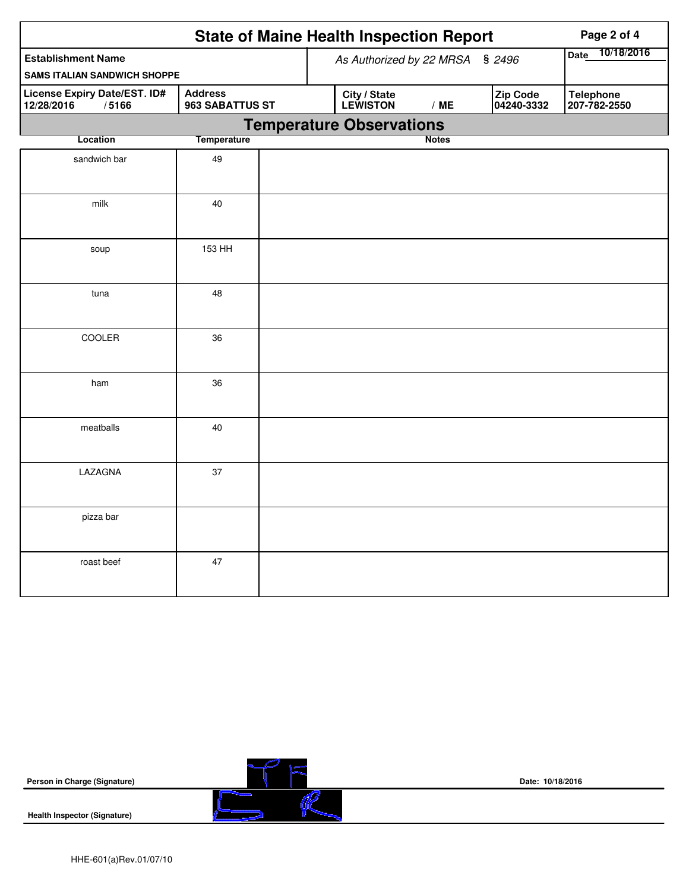| <b>State of Maine Health Inspection Report</b><br>Page 2 of 4    |                                   |                                                                  |                                  |  |  |  |  |
|------------------------------------------------------------------|-----------------------------------|------------------------------------------------------------------|----------------------------------|--|--|--|--|
| <b>Establishment Name</b><br><b>SAMS ITALIAN SANDWICH SHOPPE</b> |                                   | As Authorized by 22 MRSA § 2496                                  | 10/18/2016<br><b>Date</b>        |  |  |  |  |
| License Expiry Date/EST. ID#<br>12/28/2016<br>/5166              | <b>Address</b><br>963 SABATTUS ST | <b>City / State</b><br>LEWISTON<br>Zip Code<br>/ME<br>04240-3332 | <b>Telephone</b><br>207-782-2550 |  |  |  |  |
|                                                                  |                                   | <b>Temperature Observations</b>                                  |                                  |  |  |  |  |
| Location                                                         | <b>Temperature</b>                | <b>Notes</b>                                                     |                                  |  |  |  |  |
| sandwich bar                                                     | 49                                |                                                                  |                                  |  |  |  |  |
| milk                                                             | 40                                |                                                                  |                                  |  |  |  |  |
| soup                                                             | 153 HH                            |                                                                  |                                  |  |  |  |  |
| tuna                                                             | 48                                |                                                                  |                                  |  |  |  |  |
| COOLER                                                           | 36                                |                                                                  |                                  |  |  |  |  |
| ham                                                              | 36                                |                                                                  |                                  |  |  |  |  |
| meatballs                                                        | 40                                |                                                                  |                                  |  |  |  |  |
| LAZAGNA                                                          | 37                                |                                                                  |                                  |  |  |  |  |
| pizza bar                                                        |                                   |                                                                  |                                  |  |  |  |  |
| roast beef                                                       | 47                                |                                                                  |                                  |  |  |  |  |

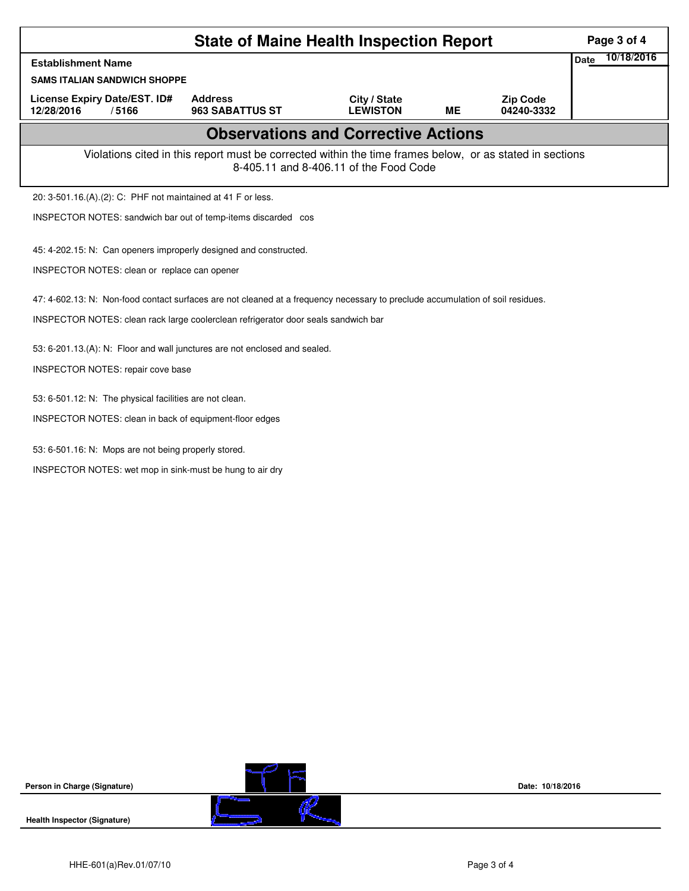| <b>State of Maine Health Inspection Report</b><br><b>Establishment Name</b><br><b>SAMS ITALIAN SANDWICH SHOPPE</b><br><b>License Expiry Date/EST. ID#</b><br><b>Address</b><br>City / State<br><b>Zip Code</b><br>ME<br>04240-3332<br>12/28/2016<br>/5166<br>963 SABATTUS ST<br><b>LEWISTON</b><br><b>Observations and Corrective Actions</b><br>Violations cited in this report must be corrected within the time frames below, or as stated in sections<br>8-405.11 and 8-406.11 of the Food Code<br>20: 3-501.16.(A).(2): C: PHF not maintained at 41 F or less. | 10/18/2016<br><b>Date</b> |  |  |  |  |  |  |  |  |  |
|---------------------------------------------------------------------------------------------------------------------------------------------------------------------------------------------------------------------------------------------------------------------------------------------------------------------------------------------------------------------------------------------------------------------------------------------------------------------------------------------------------------------------------------------------------------------|---------------------------|--|--|--|--|--|--|--|--|--|
|                                                                                                                                                                                                                                                                                                                                                                                                                                                                                                                                                                     |                           |  |  |  |  |  |  |  |  |  |
|                                                                                                                                                                                                                                                                                                                                                                                                                                                                                                                                                                     |                           |  |  |  |  |  |  |  |  |  |
|                                                                                                                                                                                                                                                                                                                                                                                                                                                                                                                                                                     |                           |  |  |  |  |  |  |  |  |  |
|                                                                                                                                                                                                                                                                                                                                                                                                                                                                                                                                                                     |                           |  |  |  |  |  |  |  |  |  |
|                                                                                                                                                                                                                                                                                                                                                                                                                                                                                                                                                                     |                           |  |  |  |  |  |  |  |  |  |
|                                                                                                                                                                                                                                                                                                                                                                                                                                                                                                                                                                     |                           |  |  |  |  |  |  |  |  |  |
| INSPECTOR NOTES: sandwich bar out of temp-items discarded cos                                                                                                                                                                                                                                                                                                                                                                                                                                                                                                       |                           |  |  |  |  |  |  |  |  |  |
| 45: 4-202.15: N: Can openers improperly designed and constructed.                                                                                                                                                                                                                                                                                                                                                                                                                                                                                                   |                           |  |  |  |  |  |  |  |  |  |
|                                                                                                                                                                                                                                                                                                                                                                                                                                                                                                                                                                     |                           |  |  |  |  |  |  |  |  |  |
| INSPECTOR NOTES: clean or replace can opener                                                                                                                                                                                                                                                                                                                                                                                                                                                                                                                        |                           |  |  |  |  |  |  |  |  |  |
| 47: 4-602.13: N: Non-food contact surfaces are not cleaned at a frequency necessary to preclude accumulation of soil residues.                                                                                                                                                                                                                                                                                                                                                                                                                                      |                           |  |  |  |  |  |  |  |  |  |
| INSPECTOR NOTES: clean rack large coolerclean refrigerator door seals sandwich bar                                                                                                                                                                                                                                                                                                                                                                                                                                                                                  |                           |  |  |  |  |  |  |  |  |  |
| 53: 6-201.13.(A): N: Floor and wall junctures are not enclosed and sealed.                                                                                                                                                                                                                                                                                                                                                                                                                                                                                          |                           |  |  |  |  |  |  |  |  |  |
| INSPECTOR NOTES: repair cove base                                                                                                                                                                                                                                                                                                                                                                                                                                                                                                                                   |                           |  |  |  |  |  |  |  |  |  |
|                                                                                                                                                                                                                                                                                                                                                                                                                                                                                                                                                                     |                           |  |  |  |  |  |  |  |  |  |
| 53: 6-501.12: N: The physical facilities are not clean.                                                                                                                                                                                                                                                                                                                                                                                                                                                                                                             |                           |  |  |  |  |  |  |  |  |  |
| INSPECTOR NOTES: clean in back of equipment-floor edges                                                                                                                                                                                                                                                                                                                                                                                                                                                                                                             |                           |  |  |  |  |  |  |  |  |  |
| 53: 6-501.16: N: Mops are not being properly stored.                                                                                                                                                                                                                                                                                                                                                                                                                                                                                                                |                           |  |  |  |  |  |  |  |  |  |
| INSPECTOR NOTES: wet mop in sink-must be hung to air dry                                                                                                                                                                                                                                                                                                                                                                                                                                                                                                            |                           |  |  |  |  |  |  |  |  |  |
|                                                                                                                                                                                                                                                                                                                                                                                                                                                                                                                                                                     |                           |  |  |  |  |  |  |  |  |  |
|                                                                                                                                                                                                                                                                                                                                                                                                                                                                                                                                                                     |                           |  |  |  |  |  |  |  |  |  |
|                                                                                                                                                                                                                                                                                                                                                                                                                                                                                                                                                                     |                           |  |  |  |  |  |  |  |  |  |
|                                                                                                                                                                                                                                                                                                                                                                                                                                                                                                                                                                     |                           |  |  |  |  |  |  |  |  |  |
|                                                                                                                                                                                                                                                                                                                                                                                                                                                                                                                                                                     |                           |  |  |  |  |  |  |  |  |  |
|                                                                                                                                                                                                                                                                                                                                                                                                                                                                                                                                                                     |                           |  |  |  |  |  |  |  |  |  |
|                                                                                                                                                                                                                                                                                                                                                                                                                                                                                                                                                                     |                           |  |  |  |  |  |  |  |  |  |